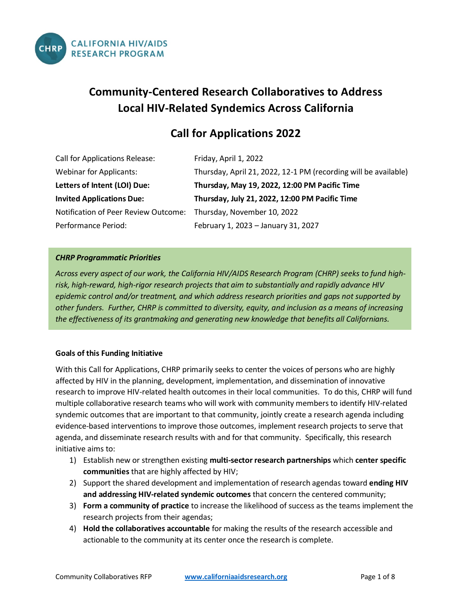

# **Community-Centered Research Collaboratives to Address Local HIV-Related Syndemics Across California**

## **Call for Applications 2022**

| Call for Applications Release:       | Friday, April 1, 2022                                           |
|--------------------------------------|-----------------------------------------------------------------|
| <b>Webinar for Applicants:</b>       | Thursday, April 21, 2022, 12-1 PM (recording will be available) |
| Letters of Intent (LOI) Due:         | Thursday, May 19, 2022, 12:00 PM Pacific Time                   |
| <b>Invited Applications Due:</b>     | Thursday, July 21, 2022, 12:00 PM Pacific Time                  |
| Notification of Peer Review Outcome: | Thursday, November 10, 2022                                     |
| Performance Period:                  | February 1, 2023 - January 31, 2027                             |

## *CHRP Programmatic Priorities*

*Across every aspect of our work, the California HIV/AIDS Research Program (CHRP) seeks to fund highrisk, high-reward, high-rigor research projects that aim to substantially and rapidly advance HIV epidemic control and/or treatment, and which address research priorities and gaps not supported by other funders. Further, CHRP is committed to diversity, equity, and inclusion as a means of increasing the effectiveness of its grantmaking and generating new knowledge that benefits all Californians.*

### **Goals of this Funding Initiative**

With this Call for Applications, CHRP primarily seeks to center the voices of persons who are highly affected by HIV in the planning, development, implementation, and dissemination of innovative research to improve HIV-related health outcomes in their local communities. To do this, CHRP will fund multiple collaborative research teams who will work with community members to identify HIV-related syndemic outcomes that are important to that community, jointly create a research agenda including evidence-based interventions to improve those outcomes, implement research projects to serve that agenda, and disseminate research results with and for that community. Specifically, this research initiative aims to:

- 1) Establish new or strengthen existing **multi-sector research partnerships** which **center specific communities** that are highly affected by HIV;
- 2) Support the shared development and implementation of research agendas toward **ending HIV and addressing HIV-related syndemic outcomes** that concern the centered community;
- 3) **Form a community of practice** to increase the likelihood of success as the teams implement the research projects from their agendas;
- 4) **Hold the collaboratives accountable** for making the results of the research accessible and actionable to the community at its center once the research is complete.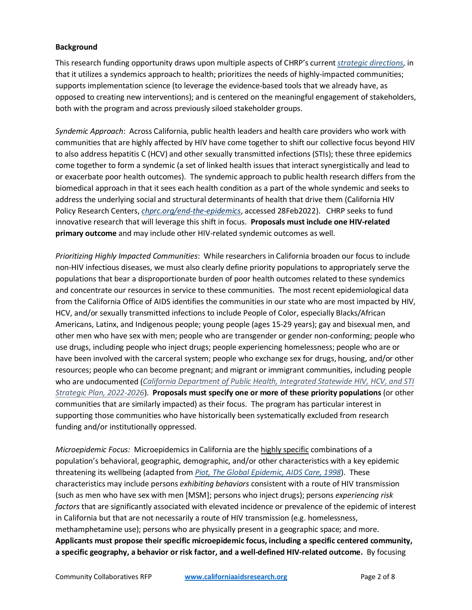## **Background**

This research funding opportunity draws upon multiple aspects of CHRP's current *[strategic directions](https://www.californiaaidsresearch.org/about/strategic-plan-2020-2025.html)*, in that it utilizes a syndemics approach to health; prioritizes the needs of highly-impacted communities; supports implementation science (to leverage the evidence-based tools that we already have, as opposed to creating new interventions); and is centered on the meaningful engagement of stakeholders, both with the program and across previously siloed stakeholder groups.

*Syndemic Approach*: Across California, public health leaders and health care providers who work with communities that are highly affected by HIV have come together to shift our collective focus beyond HIV to also address hepatitis C (HCV) and other sexually transmitted infections (STIs); these three epidemics come together to form a syndemic (a set of linked health issues that interact synergistically and lead to or exacerbate poor health outcomes). The syndemic approach to public health research differs from the biomedical approach in that it sees each health condition as a part of the whole syndemic and seeks to address the underlying social and structural determinants of health that drive them (California HIV Policy Research Centers, *[chprc.org/end-the-epidemics](file://p-its-ctxupm04.ucop.edu/ctxhome04/lstanga.ad/CHRP%202022%20Concepts/chprc.org/end-the-epidemics)*, accessed 28Feb2022). CHRP seeks to fund innovative research that will leverage this shift in focus. **Proposals must include one HIV-related primary outcome** and may include other HIV-related syndemic outcomes as well.

*Prioritizing Highly Impacted Communities*: While researchers in California broaden our focus to include non-HIV infectious diseases, we must also clearly define priority populations to appropriately serve the populations that bear a disproportionate burden of poor health outcomes related to these syndemics and concentrate our resources in service to these communities. The most recent epidemiological data from the California Office of AIDS identifies the communities in our state who are most impacted by HIV, HCV, and/or sexually transmitted infections to include People of Color, especially Blacks/African Americans, Latinx, and Indigenous people; young people (ages 15-29 years); gay and bisexual men, and other men who have sex with men; people who are transgender or gender non-conforming; people who use drugs, including people who inject drugs; people experiencing homelessness; people who are or have been involved with the carceral system; people who exchange sex for drugs, housing, and/or other resources; people who can become pregnant; and migrant or immigrant communities, including people who are undocumented (*[California Department of Public Health, Integrated Statewide HIV, HCV, and STI](https://www.cdph.ca.gov/Programs/CID/DOA/CDPH%20Document%20Library/CDPH_StratPlan2021_FINAL_ADA.pdf)  [Strategic Plan, 2022-2026](https://www.cdph.ca.gov/Programs/CID/DOA/CDPH%20Document%20Library/CDPH_StratPlan2021_FINAL_ADA.pdf)*). **Proposals must specify one or more of these priority populations** (or other communities that are similarly impacted) as their focus. The program has particular interest in supporting those communities who have historically been systematically excluded from research funding and/or institutionally oppressed.

*Microepidemic Focus:*Microepidemics in California are the highly specific combinations of a population's behavioral, geographic, demographic, and/or other characteristics with a key epidemic threatening its wellbeing (adapted from *[Piot, The Global Epidemic, AIDS Care, 1998](https://www.tandfonline.com/doi/abs/10.1080/09540129850124307)*). These characteristics may include persons *exhibiting behaviors* consistent with a route of HIV transmission (such as men who have sex with men [MSM]; persons who inject drugs); persons *experiencing risk factors* that are significantly associated with elevated incidence or prevalence of the epidemic of interest in California but that are not necessarily a route of HIV transmission (e.g. homelessness, methamphetamine use); persons who are physically present in a geographic space; and more. **Applicants must propose their specific microepidemic focus, including a specific centered community, a specific geography, a behavior or risk factor, and a well-defined HIV-related outcome.** By focusing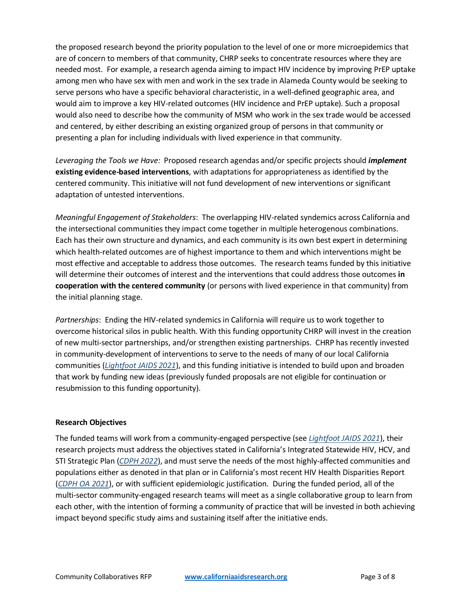the proposed research beyond the priority population to the level of one or more microepidemics that are of concern to members of that community, CHRP seeks to concentrate resources where they are needed most. For example, a research agenda aiming to impact HIV incidence by improving PrEP uptake among men who have sex with men and work in the sex trade in Alameda County would be seeking to serve persons who have a specific behavioral characteristic, in a well-defined geographic area, and would aim to improve a key HIV-related outcomes (HIV incidence and PrEP uptake). Such a proposal would also need to describe how the community of MSM who work in the sex trade would be accessed and centered, by either describing an existing organized group of persons in that community or presenting a plan for including individuals with lived experience in that community.

*Leveraging the Tools we Have:* Proposed research agendas and/or specific projects should *implement* **existing evidence-based interventions**, with adaptations for appropriateness as identified by the centered community. This initiative will not fund development of new interventions or significant adaptation of untested interventions.

*Meaningful Engagement of Stakeholders*: The overlapping HIV-related syndemics across California and the intersectional communities they impact come together in multiple heterogenous combinations. Each has their own structure and dynamics, and each community is its own best expert in determining which health-related outcomes are of highest importance to them and which interventions might be most effective and acceptable to address those outcomes. The research teams funded by this initiative will determine their outcomes of interest and the interventions that could address those outcomes **in cooperation with the centered community** (or persons with lived experience in that community) from the initial planning stage.

*Partnerships*: Ending the HIV-related syndemics in California will require us to work together to overcome historical silos in public health. With this funding opportunity CHRP will invest in the creation of new multi-sector partnerships, and/or strengthen existing partnerships. CHRP has recently invested in community-development of interventions to serve to the needs of many of our local California communities (*[Lightfoot JAIDS 2021](https://www.ncbi.nlm.nih.gov/pmc/articles/PMC8579984/)*), and this funding initiative is intended to build upon and broaden that work by funding new ideas (previously funded proposals are not eligible for continuation or resubmission to this funding opportunity).

### **Research Objectives**

The funded teams will work from a community-engaged perspective (see *[Lightfoot JAIDS 2021](https://www.ncbi.nlm.nih.gov/pmc/articles/PMC8579984/)*), their research projects must address the objectives stated in California's Integrated Statewide HIV, HCV, and STI Strategic Plan (*[CDPH 2022](https://www.cdph.ca.gov/Programs/CID/DOA/CDPH%20Document%20Library/CDPH_StratPlan2021_FINAL_ADA.pdf)*), and must serve the needs of the most highly-affected communities and populations either as denoted in that plan or in California's most recent HIV Health Disparities Report (*[CDPH OA 2021](https://www.cdph.ca.gov/Programs/CID/DOA/CDPH%20Document%20Library/2019HealthDisparitiesReport.pdf)*), or with sufficient epidemiologic justification. During the funded period, all of the multi-sector community-engaged research teams will meet as a single collaborative group to learn from each other, with the intention of forming a community of practice that will be invested in both achieving impact beyond specific study aims and sustaining itself after the initiative ends.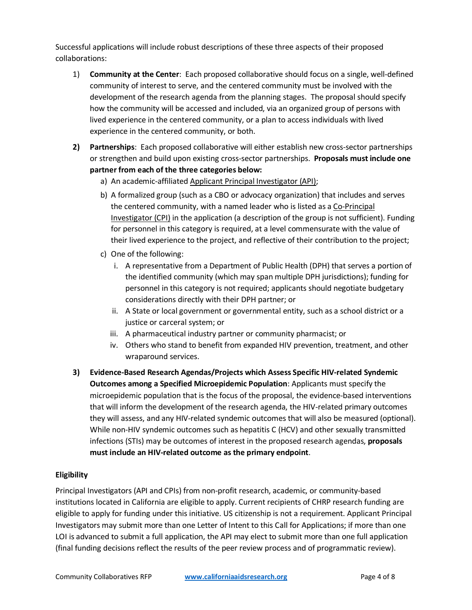Successful applications will include robust descriptions of these three aspects of their proposed collaborations:

- 1) **Community at the Center**: Each proposed collaborative should focus on a single, well-defined community of interest to serve, and the centered community must be involved with the development of the research agenda from the planning stages. The proposal should specify how the community will be accessed and included, via an organized group of persons with lived experience in the centered community, or a plan to access individuals with lived experience in the centered community, or both.
- **2) Partnerships**: Each proposed collaborative will either establish new cross-sector partnerships or strengthen and build upon existing cross-sector partnerships. **Proposals must include one partner from each of the three categories below:**
	- a) An academic-affiliated Applicant Principal Investigator (API);
	- b) A formalized group (such as a CBO or advocacy organization) that includes and serves the centered community, with a named leader who is listed as a Co-Principal Investigator (CPI) in the application (a description of the group is not sufficient). Funding for personnel in this category is required, at a level commensurate with the value of their lived experience to the project, and reflective of their contribution to the project;
	- c) One of the following:
		- i. A representative from a Department of Public Health (DPH) that serves a portion of the identified community (which may span multiple DPH jurisdictions); funding for personnel in this category is not required; applicants should negotiate budgetary considerations directly with their DPH partner; or
		- ii. A State or local government or governmental entity, such as a school district or a justice or carceral system; or
		- iii. A pharmaceutical industry partner or community pharmacist; or
		- iv. Others who stand to benefit from expanded HIV prevention, treatment, and other wraparound services.
- **3) Evidence-Based Research Agendas/Projects which Assess Specific HIV-related Syndemic Outcomes among a Specified Microepidemic Population**: Applicants must specify the microepidemic population that is the focus of the proposal, the evidence-based interventions that will inform the development of the research agenda, the HIV-related primary outcomes they will assess, and any HIV-related syndemic outcomes that will also be measured (optional). While non-HIV syndemic outcomes such as hepatitis C (HCV) and other sexually transmitted infections (STIs) may be outcomes of interest in the proposed research agendas, **proposals must include an HIV-related outcome as the primary endpoint**.

## **Eligibility**

Principal Investigators (API and CPIs) from non-profit research, academic, or community-based institutions located in California are eligible to apply. Current recipients of CHRP research funding are eligible to apply for funding under this initiative. US citizenship is not a requirement. Applicant Principal Investigators may submit more than one Letter of Intent to this Call for Applications; if more than one LOI is advanced to submit a full application, the API may elect to submit more than one full application (final funding decisions reflect the results of the peer review process and of programmatic review).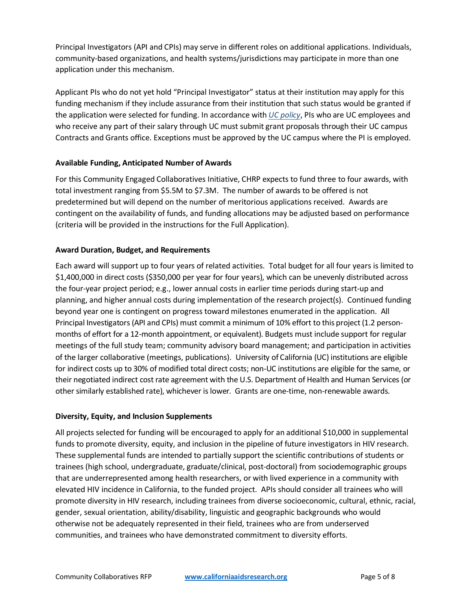Principal Investigators (API and CPIs) may serve in different roles on additional applications. Individuals, community-based organizations, and health systems/jurisdictions may participate in more than one application under this mechanism.

Applicant PIs who do not yet hold "Principal Investigator" status at their institution may apply for this funding mechanism if they include assurance from their institution that such status would be granted if the application were selected for funding. In accordance with *[UC policy](https://policy.ucop.edu/doc/2500500/ReqSubmitProp-Awar)*, PIs who are UC employees and who receive any part of their salary through UC must submit grant proposals through their UC campus Contracts and Grants office. Exceptions must be approved by the UC campus where the PI is employed.

## **Available Funding, Anticipated Number of Awards**

For this Community Engaged Collaboratives Initiative, CHRP expects to fund three to four awards, with total investment ranging from \$5.5M to \$7.3M. The number of awards to be offered is not predetermined but will depend on the number of meritorious applications received. Awards are contingent on the availability of funds, and funding allocations may be adjusted based on performance (criteria will be provided in the instructions for the Full Application).

## **Award Duration, Budget, and Requirements**

Each award will support up to four years of related activities. Total budget for all four years is limited to \$1,400,000 in direct costs (\$350,000 per year for four years), which can be unevenly distributed across the four-year project period; e.g., lower annual costs in earlier time periods during start-up and planning, and higher annual costs during implementation of the research project(s). Continued funding beyond year one is contingent on progress toward milestones enumerated in the application. All Principal Investigators (API and CPIs) must commit a minimum of 10% effort to this project (1.2 personmonths of effort for a 12-month appointment, or equivalent). Budgets must include support for regular meetings of the full study team; community advisory board management; and participation in activities of the larger collaborative (meetings, publications). University of California (UC) institutions are eligible for indirect costs up to 30% of modified total direct costs; non-UC institutions are eligible for the same, or their negotiated indirect cost rate agreement with the U.S. Department of Health and Human Services (or other similarly established rate), whichever is lower. Grants are one-time, non-renewable awards.

## **Diversity, Equity, and Inclusion Supplements**

All projects selected for funding will be encouraged to apply for an additional \$10,000 in supplemental funds to promote diversity, equity, and inclusion in the pipeline of future investigators in HIV research. These supplemental funds are intended to partially support the scientific contributions of students or trainees (high school, undergraduate, graduate/clinical, post-doctoral) from sociodemographic groups that are underrepresented among health researchers, or with lived experience in a community with elevated HIV incidence in California, to the funded project. APIs should consider all trainees who will promote diversity in HIV research, including trainees from diverse socioeconomic, cultural, ethnic, racial, gender, sexual orientation, ability/disability, linguistic and geographic backgrounds who would otherwise not be adequately represented in their field, trainees who are from underserved communities, and trainees who have demonstrated commitment to diversity efforts.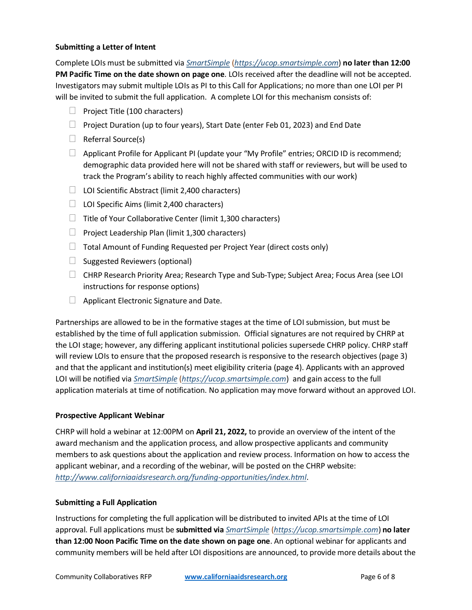## **Submitting a Letter of Intent**

Complete LOIs must be submitted via *[SmartSimple](https://ucop.smartsimple.com/)* (*[https://ucop.smartsimple.com](https://ucop.smartsimple.com/)*) **no later than 12:00 PM Pacific Time on the date shown on page one**. LOIs received after the deadline will not be accepted. Investigators may submit multiple LOIs as PI to this Call for Applications; no more than one LOI per PI will be invited to submit the full application. A complete LOI for this mechanism consists of:

- $\Box$  Project Title (100 characters)
- $\Box$  Project Duration (up to four years), Start Date (enter Feb 01, 2023) and End Date
- $\Box$  Referral Source(s)
- $\Box$  Applicant Profile for Applicant PI (update your "My Profile" entries; ORCID ID is recommend; demographic data provided here will not be shared with staff or reviewers, but will be used to track the Program's ability to reach highly affected communities with our work)
- $\Box$  LOI Scientific Abstract (limit 2,400 characters)
- $\Box$  LOI Specific Aims (limit 2,400 characters)
- $\Box$  Title of Your Collaborative Center (limit 1,300 characters)
- $\Box$  Project Leadership Plan (limit 1,300 characters)
- $\Box$  Total Amount of Funding Requested per Project Year (direct costs only)
- $\Box$  Suggested Reviewers (optional)
- CHRP Research Priority Area; Research Type and Sub-Type; Subject Area; Focus Area (see LOI instructions for response options)
- $\Box$  Applicant Electronic Signature and Date.

Partnerships are allowed to be in the formative stages at the time of LOI submission, but must be established by the time of full application submission. Official signatures are not required by CHRP at the LOI stage; however, any differing applicant institutional policies supersede CHRP policy. CHRP staff will review LOIs to ensure that the proposed research is responsive to the research objectives (page 3) and that the applicant and institution(s) meet eligibility criteria (page 4). Applicants with an approved LOI will be notified via *[SmartSimple](https://ucop.smartsimple.com/)* (*[https://ucop.smartsimple.com](https://ucop.smartsimple.com/)*) and gain access to the full application materials at time of notification. No application may move forward without an approved LOI.

### **Prospective Applicant Webinar**

CHRP will hold a webinar at 12:00PM on **April 21, 2022,** to provide an overview of the intent of the award mechanism and the application process, and allow prospective applicants and community members to ask questions about the application and review process. Information on how to access the applicant webinar, and a recording of the webinar, will be posted on the CHRP website: *<http://www.californiaaidsresearch.org/funding-opportunities/index.html>*.

### **Submitting a Full Application**

Instructions for completing the full application will be distributed to invited APIs at the time of LOI approval. Full applications must be **submitted via** *[SmartSimple](https://ucop.smartsimple.com/)* (*[https://ucop.smartsimple.com](https://ucop.smartsimple.com/)*) **no later than 12:00 Noon Pacific Time on the date shown on page one**. An optional webinar for applicants and community members will be held after LOI dispositions are announced, to provide more details about the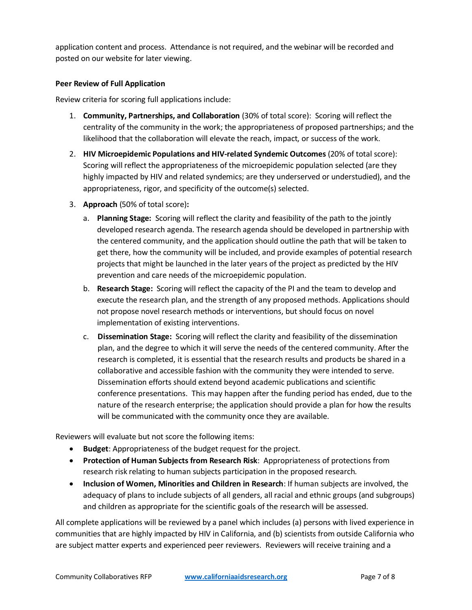application content and process. Attendance is not required, and the webinar will be recorded and posted on our website for later viewing.

## **Peer Review of Full Application**

Review criteria for scoring full applications include:

- 1. **Community, Partnerships, and Collaboration** (30% of total score): Scoring will reflect the centrality of the community in the work; the appropriateness of proposed partnerships; and the likelihood that the collaboration will elevate the reach, impact, or success of the work.
- 2. **HIV Microepidemic Populations and HIV-related Syndemic Outcomes** (20% of total score): Scoring will reflect the appropriateness of the microepidemic population selected (are they highly impacted by HIV and related syndemics; are they underserved or understudied), and the appropriateness, rigor, and specificity of the outcome(s) selected.
- 3. **Approach** (50% of total score)**:** 
	- a. **Planning Stage:** Scoring will reflect the clarity and feasibility of the path to the jointly developed research agenda. The research agenda should be developed in partnership with the centered community, and the application should outline the path that will be taken to get there, how the community will be included, and provide examples of potential research projects that might be launched in the later years of the project as predicted by the HIV prevention and care needs of the microepidemic population.
	- b. **Research Stage:** Scoring will reflect the capacity of the PI and the team to develop and execute the research plan, and the strength of any proposed methods. Applications should not propose novel research methods or interventions, but should focus on novel implementation of existing interventions.
	- c. **Dissemination Stage:** Scoring will reflect the clarity and feasibility of the dissemination plan, and the degree to which it will serve the needs of the centered community. After the research is completed, it is essential that the research results and products be shared in a collaborative and accessible fashion with the community they were intended to serve. Dissemination efforts should extend beyond academic publications and scientific conference presentations. This may happen after the funding period has ended, due to the nature of the research enterprise; the application should provide a plan for how the results will be communicated with the community once they are available.

Reviewers will evaluate but not score the following items:

- **Budget**: Appropriateness of the budget request for the project.
- **Protection of Human Subjects from Research Risk**: Appropriateness of protections from research risk relating to human subjects participation in the proposed research.
- **Inclusion of Women, Minorities and Children in Research**: If human subjects are involved, the adequacy of plans to include subjects of all genders, all racial and ethnic groups (and subgroups) and children as appropriate for the scientific goals of the research will be assessed.

All complete applications will be reviewed by a panel which includes (a) persons with lived experience in communities that are highly impacted by HIV in California, and (b) scientists from outside California who are subject matter experts and experienced peer reviewers. Reviewers will receive training and a